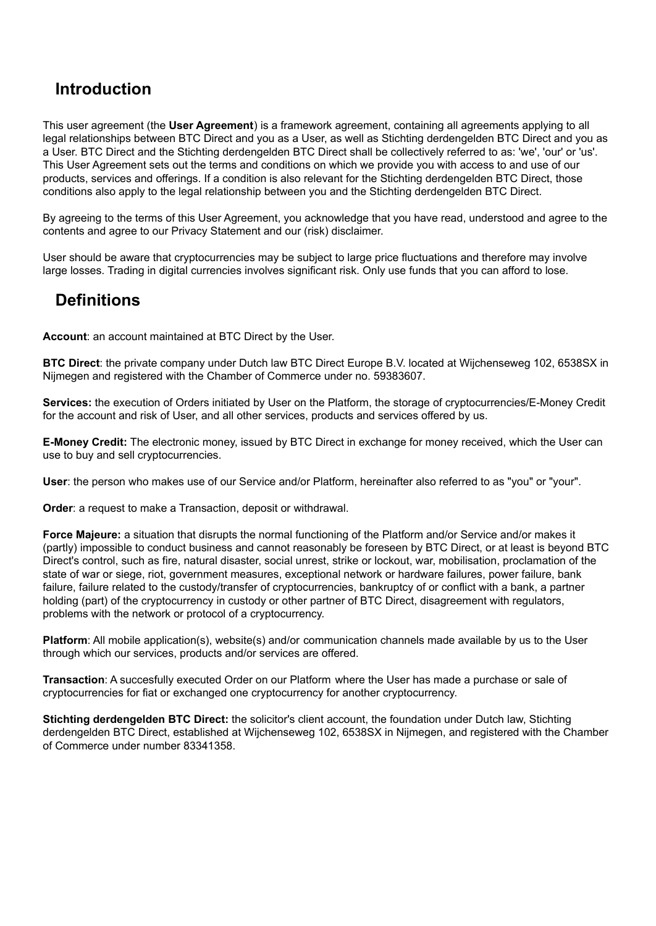### **Introduction**

This user agreement (the **User Agreement**) is a framework agreement, containing all agreements applying to all legal relationships between BTC Direct and you as a User, as well as Stichting derdengelden BTC Direct and you as a User. BTC Direct and the Stichting derdengelden BTC Direct shall be collectively referred to as: 'we', 'our' or 'us'. This User Agreement sets out the terms and conditions on which we provide you with access to and use of our products, services and offerings. If a condition is also relevant for the Stichting derdengelden BTC Direct, those conditions also apply to the legal relationship between you and the Stichting derdengelden BTC Direct.

By agreeing to the terms of this User Agreement, you acknowledge that you have read, understood and agree to the contents and agree to our Privacy Statement and our (risk) disclaimer.

User should be aware that cryptocurrencies may be subject to large price fluctuations and therefore may involve large losses. Trading in digital currencies involves significant risk. Only use funds that you can afford to lose.

### **Definitions**

**Account**: an account maintained at BTC Direct by the User.

**BTC Direct**: the private company under Dutch law BTC Direct Europe B.V. located at Wijchenseweg 102, 6538SX in Nijmegen and registered with the Chamber of Commerce under no. 59383607.

**Services:** the execution of Orders initiated by User on the Platform, the storage of cryptocurrencies/E-Money Credit for the account and risk of User, and all other services, products and services offered by us.

**E-Money Credit:** The electronic money, issued by BTC Direct in exchange for money received, which the User can use to buy and sell cryptocurrencies.

**User**: the person who makes use of our Service and/or Platform, hereinafter also referred to as "you" or "your".

**Order**: a request to make a Transaction, deposit or withdrawal.

**Force Majeure:** a situation that disrupts the normal functioning of the Platform and/or Service and/or makes it (partly) impossible to conduct business and cannot reasonably be foreseen by BTC Direct, or at least is beyond BTC Direct's control, such as fire, natural disaster, social unrest, strike or lockout, war, mobilisation, proclamation of the state of war or siege, riot, government measures, exceptional network or hardware failures, power failure, bank failure, failure related to the custody/transfer of cryptocurrencies, bankruptcy of or conflict with a bank, a partner holding (part) of the cryptocurrency in custody or other partner of BTC Direct, disagreement with regulators, problems with the network or protocol of a cryptocurrency.

**Platform**: All mobile application(s), website(s) and/or communication channels made available by us to the User through which our services, products and/or services are offered.

**Transaction**: A succesfully executed Order on our Platform where the User has made a purchase or sale of cryptocurrencies for fiat or exchanged one cryptocurrency for another cryptocurrency.

**Stichting derdengelden BTC Direct:** the solicitor's client account, the foundation under Dutch law, Stichting derdengelden BTC Direct, established at Wijchenseweg 102, 6538SX in Nijmegen, and registered with the Chamber of Commerce under number 83341358.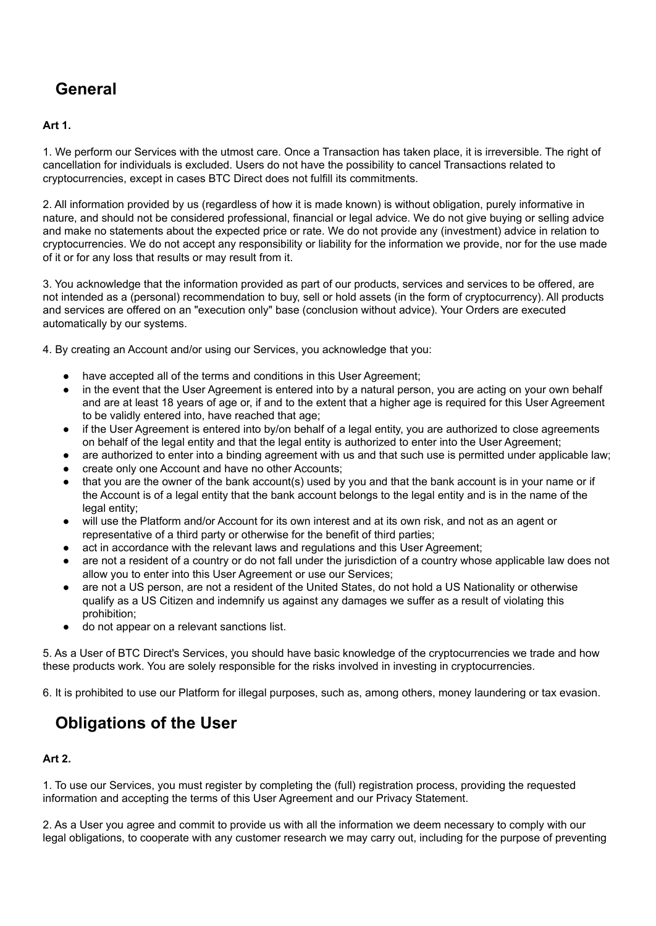# **General**

#### **Art 1.**

1. We perform our Services with the utmost care. Once a Transaction has taken place, it is irreversible. The right of cancellation for individuals is excluded. Users do not have the possibility to cancel Transactions related to cryptocurrencies, except in cases BTC Direct does not fulfill its commitments.

2. All information provided by us (regardless of how it is made known) is without obligation, purely informative in nature, and should not be considered professional, financial or legal advice. We do not give buying or selling advice and make no statements about the expected price or rate. We do not provide any (investment) advice in relation to cryptocurrencies. We do not accept any responsibility or liability for the information we provide, nor for the use made of it or for any loss that results or may result from it.

3. You acknowledge that the information provided as part of our products, services and services to be offered, are not intended as a (personal) recommendation to buy, sell or hold assets (in the form of cryptocurrency). All products and services are offered on an "execution only" base (conclusion without advice). Your Orders are executed automatically by our systems.

4. By creating an Account and/or using our Services, you acknowledge that you:

- have accepted all of the terms and conditions in this User Agreement;
- in the event that the User Agreement is entered into by a natural person, you are acting on your own behalf and are at least 18 years of age or, if and to the extent that a higher age is required for this User Agreement to be validly entered into, have reached that age;
- if the User Agreement is entered into by/on behalf of a legal entity, you are authorized to close agreements on behalf of the legal entity and that the legal entity is authorized to enter into the User Agreement;
- are authorized to enter into a binding agreement with us and that such use is permitted under applicable law;
- create only one Account and have no other Accounts;
- that you are the owner of the bank account(s) used by you and that the bank account is in your name or if the Account is of a legal entity that the bank account belongs to the legal entity and is in the name of the legal entity;
- will use the Platform and/or Account for its own interest and at its own risk, and not as an agent or representative of a third party or otherwise for the benefit of third parties;
- act in accordance with the relevant laws and regulations and this User Agreement;
- are not a resident of a country or do not fall under the jurisdiction of a country whose applicable law does not allow you to enter into this User Agreement or use our Services;
- are not a US person, are not a resident of the United States, do not hold a US Nationality or otherwise qualify as a US Citizen and indemnify us against any damages we suffer as a result of violating this prohibition;
- do not appear on a relevant sanctions list.

5. As a User of BTC Direct's Services, you should have basic knowledge of the cryptocurrencies we trade and how these products work. You are solely responsible for the risks involved in investing in cryptocurrencies.

6. It is prohibited to use our Platform for illegal purposes, such as, among others, money laundering or tax evasion.

## **Obligations of the User**

### **Art 2.**

1. To use our Services, you must register by completing the (full) registration process, providing the requested information and accepting the terms of this User Agreement and our Privacy Statement.

2. As a User you agree and commit to provide us with all the information we deem necessary to comply with our legal obligations, to cooperate with any customer research we may carry out, including for the purpose of preventing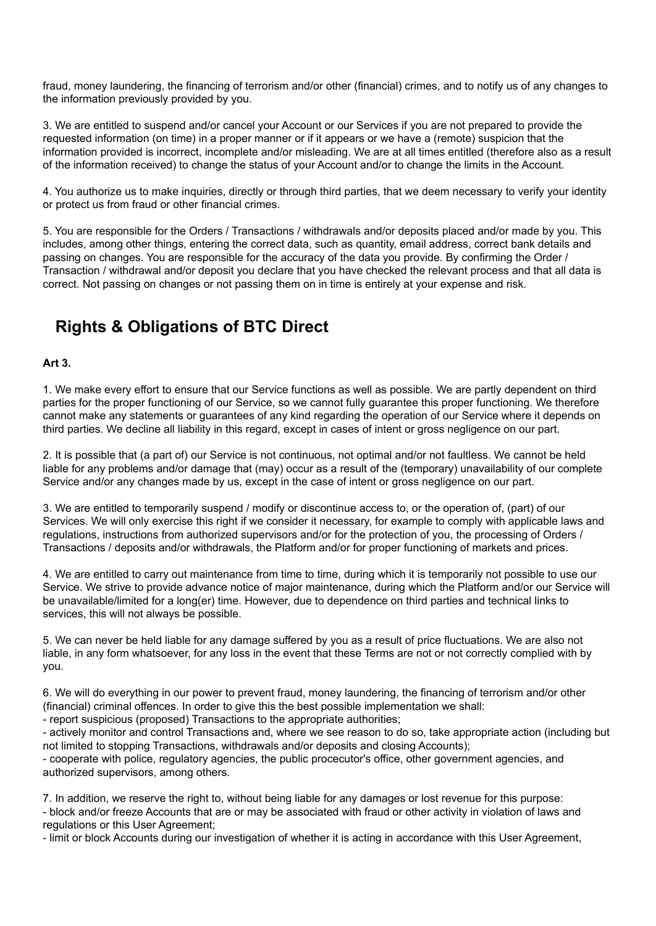fraud, money laundering, the financing of terrorism and/or other (financial) crimes, and to notify us of any changes to the information previously provided by you.

3. We are entitled to suspend and/or cancel your Account or our Services if you are not prepared to provide the requested information (on time) in a proper manner or if it appears or we have a (remote) suspicion that the information provided is incorrect, incomplete and/or misleading. We are at all times entitled (therefore also as a result of the information received) to change the status of your Account and/or to change the limits in the Account.

4. You authorize us to make inquiries, directly or through third parties, that we deem necessary to verify your identity or protect us from fraud or other financial crimes.

5. You are responsible for the Orders / Transactions / withdrawals and/or deposits placed and/or made by you. This includes, among other things, entering the correct data, such as quantity, email address, correct bank details and passing on changes. You are responsible for the accuracy of the data you provide. By confirming the Order / Transaction / withdrawal and/or deposit you declare that you have checked the relevant process and that all data is correct. Not passing on changes or not passing them on in time is entirely at your expense and risk.

# **Rights & Obligations of BTC Direct**

#### **Art 3.**

1. We make every effort to ensure that our Service functions as well as possible. We are partly dependent on third parties for the proper functioning of our Service, so we cannot fully guarantee this proper functioning. We therefore cannot make any statements or guarantees of any kind regarding the operation of our Service where it depends on third parties. We decline all liability in this regard, except in cases of intent or gross negligence on our part.

2. It is possible that (a part of) our Service is not continuous, not optimal and/or not faultless. We cannot be held liable for any problems and/or damage that (may) occur as a result of the (temporary) unavailability of our complete Service and/or any changes made by us, except in the case of intent or gross negligence on our part.

3. We are entitled to temporarily suspend / modify or discontinue access to, or the operation of, (part) of our Services. We will only exercise this right if we consider it necessary, for example to comply with applicable laws and regulations, instructions from authorized supervisors and/or for the protection of you, the processing of Orders / Transactions / deposits and/or withdrawals, the Platform and/or for proper functioning of markets and prices.

4. We are entitled to carry out maintenance from time to time, during which it is temporarily not possible to use our Service. We strive to provide advance notice of major maintenance, during which the Platform and/or our Service will be unavailable/limited for a long(er) time. However, due to dependence on third parties and technical links to services, this will not always be possible.

5. We can never be held liable for any damage suffered by you as a result of price fluctuations. We are also not liable, in any form whatsoever, for any loss in the event that these Terms are not or not correctly complied with by you.

6. We will do everything in our power to prevent fraud, money laundering, the financing of terrorism and/or other (financial) criminal offences. In order to give this the best possible implementation we shall:

- report suspicious (proposed) Transactions to the appropriate authorities;

- actively monitor and control Transactions and, where we see reason to do so, take appropriate action (including but not limited to stopping Transactions, withdrawals and/or deposits and closing Accounts);

- cooperate with police, regulatory agencies, the public procecutor's office, other government agencies, and authorized supervisors, among others.

7. In addition, we reserve the right to, without being liable for any damages or lost revenue for this purpose: - block and/or freeze Accounts that are or may be associated with fraud or other activity in violation of laws and regulations or this User Agreement;

- limit or block Accounts during our investigation of whether it is acting in accordance with this User Agreement,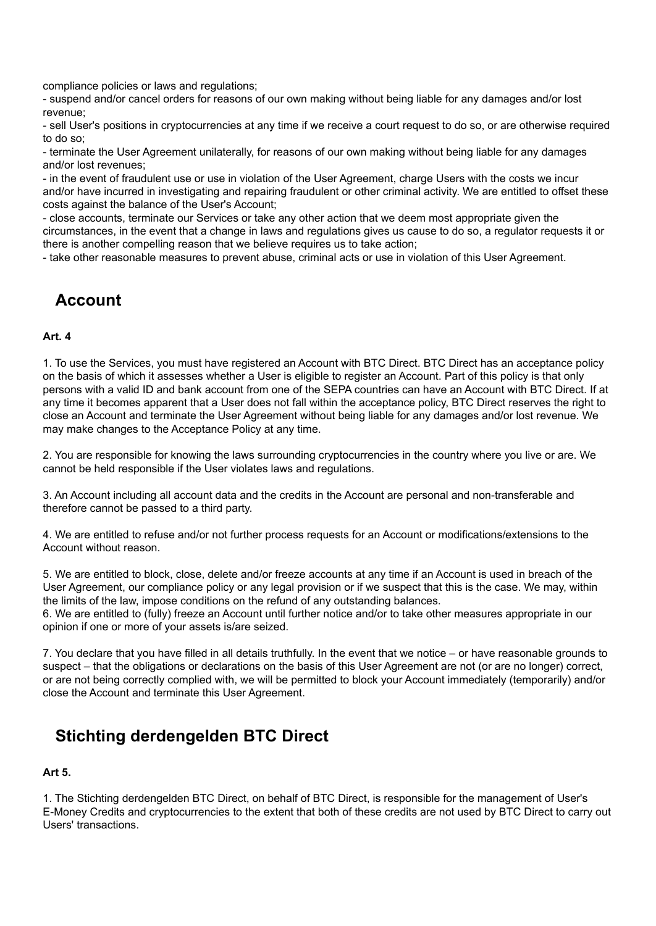compliance policies or laws and regulations;

- suspend and/or cancel orders for reasons of our own making without being liable for any damages and/or lost revenue;

- sell User's positions in cryptocurrencies at any time if we receive a court request to do so, or are otherwise required to do so;

- terminate the User Agreement unilaterally, for reasons of our own making without being liable for any damages and/or lost revenues;

- in the event of fraudulent use or use in violation of the User Agreement, charge Users with the costs we incur and/or have incurred in investigating and repairing fraudulent or other criminal activity. We are entitled to offset these costs against the balance of the User's Account;

- close accounts, terminate our Services or take any other action that we deem most appropriate given the circumstances, in the event that a change in laws and regulations gives us cause to do so, a regulator requests it or there is another compelling reason that we believe requires us to take action;

- take other reasonable measures to prevent abuse, criminal acts or use in violation of this User Agreement.

### **Account**

#### **Art. 4**

1. To use the Services, you must have registered an Account with BTC Direct. BTC Direct has an acceptance policy on the basis of which it assesses whether a User is eligible to register an Account. Part of this policy is that only persons with a valid ID and bank account from one of the SEPA countries can have an Account with BTC Direct. If at any time it becomes apparent that a User does not fall within the acceptance policy, BTC Direct reserves the right to close an Account and terminate the User Agreement without being liable for any damages and/or lost revenue. We may make changes to the Acceptance Policy at any time.

2. You are responsible for knowing the laws surrounding cryptocurrencies in the country where you live or are. We cannot be held responsible if the User violates laws and regulations.

3. An Account including all account data and the credits in the Account are personal and non-transferable and therefore cannot be passed to a third party.

4. We are entitled to refuse and/or not further process requests for an Account or modifications/extensions to the Account without reason.

5. We are entitled to block, close, delete and/or freeze accounts at any time if an Account is used in breach of the User Agreement, our compliance policy or any legal provision or if we suspect that this is the case. We may, within the limits of the law, impose conditions on the refund of any outstanding balances.

6. We are entitled to (fully) freeze an Account until further notice and/or to take other measures appropriate in our opinion if one or more of your assets is/are seized.

7. You declare that you have filled in all details truthfully. In the event that we notice – or have reasonable grounds to suspect – that the obligations or declarations on the basis of this User Agreement are not (or are no longer) correct, or are not being correctly complied with, we will be permitted to block your Account immediately (temporarily) and/or close the Account and terminate this User Agreement.

## **Stichting derdengelden BTC Direct**

### **Art 5.**

1. The Stichting derdengelden BTC Direct, on behalf of BTC Direct, is responsible for the management of User's E-Money Credits and cryptocurrencies to the extent that both of these credits are not used by BTC Direct to carry out Users' transactions.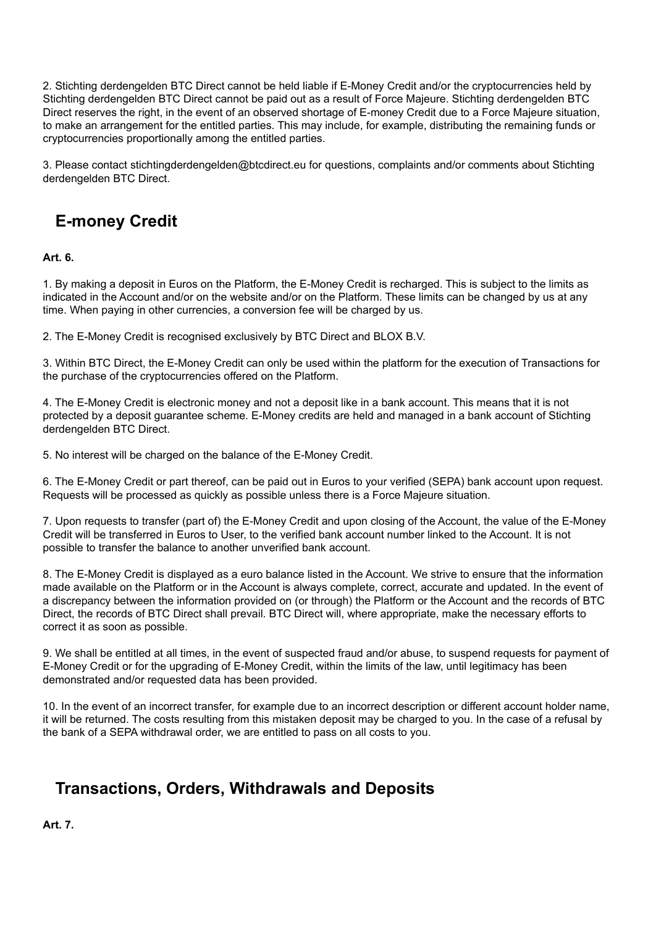2. Stichting derdengelden BTC Direct cannot be held liable if E-Money Credit and/or the cryptocurrencies held by Stichting derdengelden BTC Direct cannot be paid out as a result of Force Majeure. Stichting derdengelden BTC Direct reserves the right, in the event of an observed shortage of E-money Credit due to a Force Majeure situation, to make an arrangement for the entitled parties. This may include, for example, distributing the remaining funds or cryptocurrencies proportionally among the entitled parties.

3. Please contact stichtingderdengelden@btcdirect.eu for questions, complaints and/or comments about Stichting derdengelden BTC Direct.

## **E-money Credit**

**Art. 6.**

1. By making a deposit in Euros on the Platform, the E-Money Credit is recharged. This is subject to the limits as indicated in the Account and/or on the website and/or on the Platform. These limits can be changed by us at any time. When paying in other currencies, a conversion fee will be charged by us.

2. The E-Money Credit is recognised exclusively by BTC Direct and BLOX B.V.

3. Within BTC Direct, the E-Money Credit can only be used within the platform for the execution of Transactions for the purchase of the cryptocurrencies offered on the Platform.

4. The E-Money Credit is electronic money and not a deposit like in a bank account. This means that it is not protected by a deposit guarantee scheme. E-Money credits are held and managed in a bank account of Stichting derdengelden BTC Direct.

5. No interest will be charged on the balance of the E-Money Credit.

6. The E-Money Credit or part thereof, can be paid out in Euros to your verified (SEPA) bank account upon request. Requests will be processed as quickly as possible unless there is a Force Majeure situation.

7. Upon requests to transfer (part of) the E-Money Credit and upon closing of the Account, the value of the E-Money Credit will be transferred in Euros to User, to the verified bank account number linked to the Account. It is not possible to transfer the balance to another unverified bank account.

8. The E-Money Credit is displayed as a euro balance listed in the Account. We strive to ensure that the information made available on the Platform or in the Account is always complete, correct, accurate and updated. In the event of a discrepancy between the information provided on (or through) the Platform or the Account and the records of BTC Direct, the records of BTC Direct shall prevail. BTC Direct will, where appropriate, make the necessary efforts to correct it as soon as possible.

9. We shall be entitled at all times, in the event of suspected fraud and/or abuse, to suspend requests for payment of E-Money Credit or for the upgrading of E-Money Credit, within the limits of the law, until legitimacy has been demonstrated and/or requested data has been provided.

10. In the event of an incorrect transfer, for example due to an incorrect description or different account holder name, it will be returned. The costs resulting from this mistaken deposit may be charged to you. In the case of a refusal by the bank of a SEPA withdrawal order, we are entitled to pass on all costs to you.

## **Transactions, Orders, Withdrawals and Deposits**

**Art. 7.**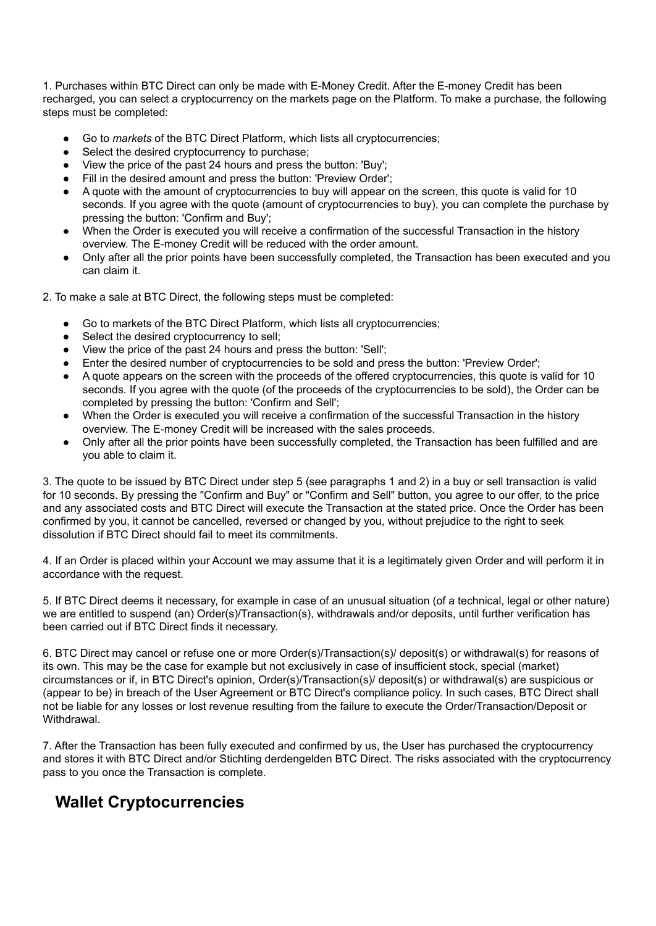1. Purchases within BTC Direct can only be made with E-Money Credit. After the E-money Credit has been recharged, you can select a cryptocurrency on the markets page on the Platform. To make a purchase, the following steps must be completed:

- Go to *markets* of the BTC Direct Platform, which lists all cryptocurrencies;
- Select the desired cryptocurrency to purchase;
- View the price of the past 24 hours and press the button: 'Buy';
- Fill in the desired amount and press the button: 'Preview Order';
- A quote with the amount of cryptocurrencies to buy will appear on the screen, this quote is valid for 10 seconds. If you agree with the quote (amount of cryptocurrencies to buy), you can complete the purchase by pressing the button: 'Confirm and Buy';
- When the Order is executed you will receive a confirmation of the successful Transaction in the history overview. The E-money Credit will be reduced with the order amount.
- Only after all the prior points have been successfully completed, the Transaction has been executed and you can claim it.
- 2. To make a sale at BTC Direct, the following steps must be completed:
	- Go to markets of the BTC Direct Platform, which lists all cryptocurrencies;
	- Select the desired cryptocurrency to sell;
	- View the price of the past 24 hours and press the button: 'Sell';
	- Enter the desired number of cryptocurrencies to be sold and press the button: 'Preview Order';
	- A quote appears on the screen with the proceeds of the offered cryptocurrencies, this quote is valid for 10 seconds. If you agree with the quote (of the proceeds of the cryptocurrencies to be sold), the Order can be completed by pressing the button: 'Confirm and Sell';
	- When the Order is executed you will receive a confirmation of the successful Transaction in the history overview. The E-money Credit will be increased with the sales proceeds.
	- Only after all the prior points have been successfully completed, the Transaction has been fulfilled and are you able to claim it.

3. The quote to be issued by BTC Direct under step 5 (see paragraphs 1 and 2) in a buy or sell transaction is valid for 10 seconds. By pressing the "Confirm and Buy" or "Confirm and Sell" button, you agree to our offer, to the price and any associated costs and BTC Direct will execute the Transaction at the stated price. Once the Order has been confirmed by you, it cannot be cancelled, reversed or changed by you, without prejudice to the right to seek dissolution if BTC Direct should fail to meet its commitments.

4. If an Order is placed within your Account we may assume that it is a legitimately given Order and will perform it in accordance with the request.

5. If BTC Direct deems it necessary, for example in case of an unusual situation (of a technical, legal or other nature) we are entitled to suspend (an) Order(s)/Transaction(s), withdrawals and/or deposits, until further verification has been carried out if BTC Direct finds it necessary.

6. BTC Direct may cancel or refuse one or more Order(s)/Transaction(s)/ deposit(s) or withdrawal(s) for reasons of its own. This may be the case for example but not exclusively in case of insufficient stock, special (market) circumstances or if, in BTC Direct's opinion, Order(s)/Transaction(s)/ deposit(s) or withdrawal(s) are suspicious or (appear to be) in breach of the User Agreement or BTC Direct's compliance policy. In such cases, BTC Direct shall not be liable for any losses or lost revenue resulting from the failure to execute the Order/Transaction/Deposit or Withdrawal.

7. After the Transaction has been fully executed and confirmed by us, the User has purchased the cryptocurrency and stores it with BTC Direct and/or Stichting derdengelden BTC Direct. The risks associated with the cryptocurrency pass to you once the Transaction is complete.

## **Wallet Cryptocurrencies**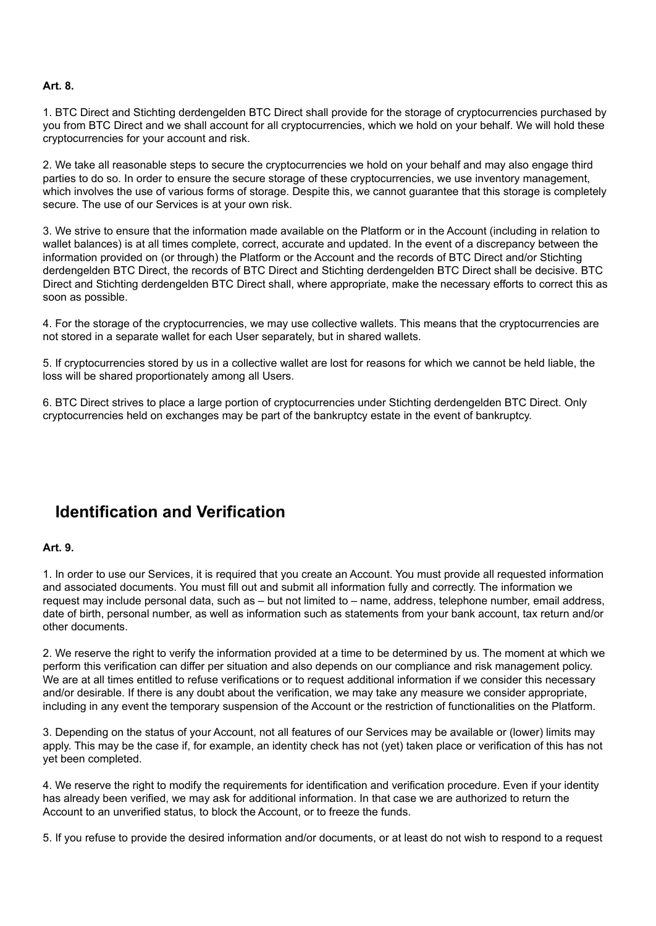#### **Art. 8.**

1. BTC Direct and Stichting derdengelden BTC Direct shall provide for the storage of cryptocurrencies purchased by you from BTC Direct and we shall account for all cryptocurrencies, which we hold on your behalf. We will hold these cryptocurrencies for your account and risk.

2. We take all reasonable steps to secure the cryptocurrencies we hold on your behalf and may also engage third parties to do so. In order to ensure the secure storage of these cryptocurrencies, we use inventory management, which involves the use of various forms of storage. Despite this, we cannot guarantee that this storage is completely secure. The use of our Services is at your own risk.

3. We strive to ensure that the information made available on the Platform or in the Account (including in relation to wallet balances) is at all times complete, correct, accurate and updated. In the event of a discrepancy between the information provided on (or through) the Platform or the Account and the records of BTC Direct and/or Stichting derdengelden BTC Direct, the records of BTC Direct and Stichting derdengelden BTC Direct shall be decisive. BTC Direct and Stichting derdengelden BTC Direct shall, where appropriate, make the necessary efforts to correct this as soon as possible.

4. For the storage of the cryptocurrencies, we may use collective wallets. This means that the cryptocurrencies are not stored in a separate wallet for each User separately, but in shared wallets.

5. If cryptocurrencies stored by us in a collective wallet are lost for reasons for which we cannot be held liable, the loss will be shared proportionately among all Users.

6. BTC Direct strives to place a large portion of cryptocurrencies under Stichting derdengelden BTC Direct. Only cryptocurrencies held on exchanges may be part of the bankruptcy estate in the event of bankruptcy.

### **Identification and Verification**

#### **Art. 9.**

1. In order to use our Services, it is required that you create an Account. You must provide all requested information and associated documents. You must fill out and submit all information fully and correctly. The information we request may include personal data, such as – but not limited to – name, address, telephone number, email address, date of birth, personal number, as well as information such as statements from your bank account, tax return and/or other documents.

2. We reserve the right to verify the information provided at a time to be determined by us. The moment at which we perform this verification can differ per situation and also depends on our compliance and risk management policy. We are at all times entitled to refuse verifications or to request additional information if we consider this necessary and/or desirable. If there is any doubt about the verification, we may take any measure we consider appropriate, including in any event the temporary suspension of the Account or the restriction of functionalities on the Platform.

3. Depending on the status of your Account, not all features of our Services may be available or (lower) limits may apply. This may be the case if, for example, an identity check has not (yet) taken place or verification of this has not yet been completed.

4. We reserve the right to modify the requirements for identification and verification procedure. Even if your identity has already been verified, we may ask for additional information. In that case we are authorized to return the Account to an unverified status, to block the Account, or to freeze the funds.

5. If you refuse to provide the desired information and/or documents, or at least do not wish to respond to a request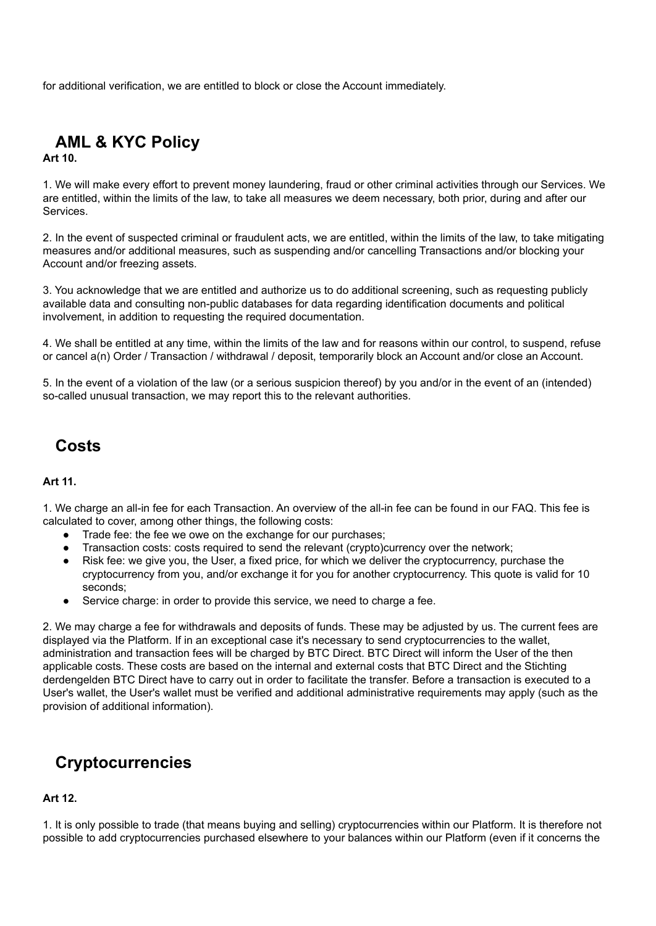for additional verification, we are entitled to block or close the Account immediately.

# **AML & KYC Policy**

**Art 10.**

1. We will make every effort to prevent money laundering, fraud or other criminal activities through our Services. We are entitled, within the limits of the law, to take all measures we deem necessary, both prior, during and after our Services.

2. In the event of suspected criminal or fraudulent acts, we are entitled, within the limits of the law, to take mitigating measures and/or additional measures, such as suspending and/or cancelling Transactions and/or blocking your Account and/or freezing assets.

3. You acknowledge that we are entitled and authorize us to do additional screening, such as requesting publicly available data and consulting non-public databases for data regarding identification documents and political involvement, in addition to requesting the required documentation.

4. We shall be entitled at any time, within the limits of the law and for reasons within our control, to suspend, refuse or cancel a(n) Order / Transaction / withdrawal / deposit, temporarily block an Account and/or close an Account.

5. In the event of a violation of the law (or a serious suspicion thereof) by you and/or in the event of an (intended) so-called unusual transaction, we may report this to the relevant authorities.

### **Costs**

#### **Art 11.**

1. We charge an all-in fee for each Transaction. An overview of the all-in fee can be found in our FAQ. This fee is calculated to cover, among other things, the following costs:

- Trade fee: the fee we owe on the exchange for our purchases;
- Transaction costs: costs required to send the relevant (crypto)currency over the network;
- Risk fee: we give you, the User, a fixed price, for which we deliver the cryptocurrency, purchase the cryptocurrency from you, and/or exchange it for you for another cryptocurrency. This quote is valid for 10 seconds;
- Service charge: in order to provide this service, we need to charge a fee.

2. We may charge a fee for withdrawals and deposits of funds. These may be adjusted by us. The current fees are displayed via the Platform. If in an exceptional case it's necessary to send cryptocurrencies to the wallet, administration and transaction fees will be charged by BTC Direct. BTC Direct will inform the User of the then applicable costs. These costs are based on the internal and external costs that BTC Direct and the Stichting derdengelden BTC Direct have to carry out in order to facilitate the transfer. Before a transaction is executed to a User's wallet, the User's wallet must be verified and additional administrative requirements may apply (such as the provision of additional information).

### **Cryptocurrencies**

### **Art 12.**

1. It is only possible to trade (that means buying and selling) cryptocurrencies within our Platform. It is therefore not possible to add cryptocurrencies purchased elsewhere to your balances within our Platform (even if it concerns the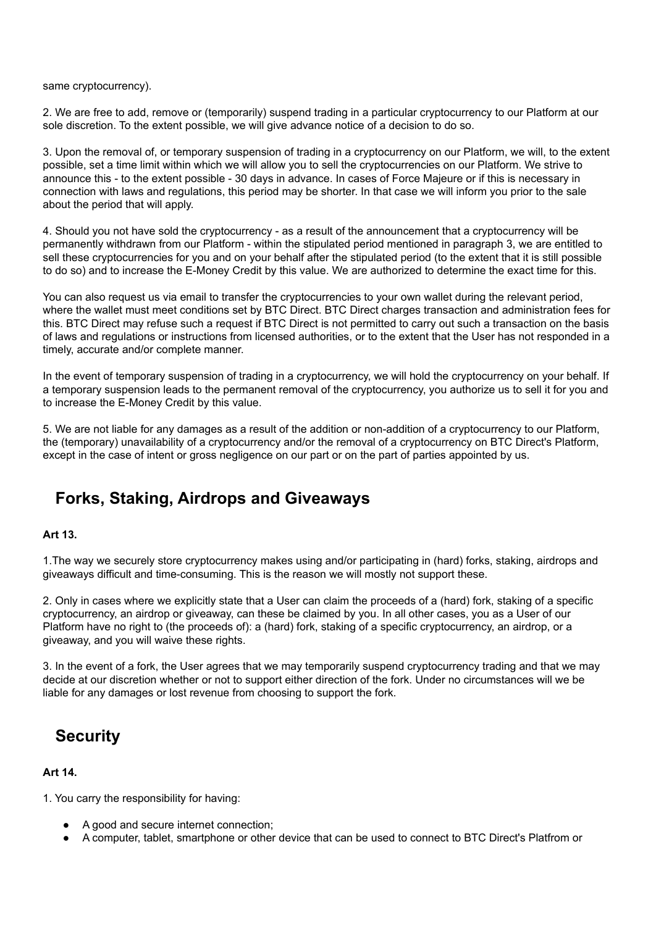same cryptocurrency).

2. We are free to add, remove or (temporarily) suspend trading in a particular cryptocurrency to our Platform at our sole discretion. To the extent possible, we will give advance notice of a decision to do so.

3. Upon the removal of, or temporary suspension of trading in a cryptocurrency on our Platform, we will, to the extent possible, set a time limit within which we will allow you to sell the cryptocurrencies on our Platform. We strive to announce this - to the extent possible - 30 days in advance. In cases of Force Majeure or if this is necessary in connection with laws and regulations, this period may be shorter. In that case we will inform you prior to the sale about the period that will apply.

4. Should you not have sold the cryptocurrency - as a result of the announcement that a cryptocurrency will be permanently withdrawn from our Platform - within the stipulated period mentioned in paragraph 3, we are entitled to sell these cryptocurrencies for you and on your behalf after the stipulated period (to the extent that it is still possible to do so) and to increase the E-Money Credit by this value. We are authorized to determine the exact time for this.

You can also request us via email to transfer the cryptocurrencies to your own wallet during the relevant period, where the wallet must meet conditions set by BTC Direct. BTC Direct charges transaction and administration fees for this. BTC Direct may refuse such a request if BTC Direct is not permitted to carry out such a transaction on the basis of laws and regulations or instructions from licensed authorities, or to the extent that the User has not responded in a timely, accurate and/or complete manner.

In the event of temporary suspension of trading in a cryptocurrency, we will hold the cryptocurrency on your behalf. If a temporary suspension leads to the permanent removal of the cryptocurrency, you authorize us to sell it for you and to increase the E-Money Credit by this value.

5. We are not liable for any damages as a result of the addition or non-addition of a cryptocurrency to our Platform, the (temporary) unavailability of a cryptocurrency and/or the removal of a cryptocurrency on BTC Direct's Platform, except in the case of intent or gross negligence on our part or on the part of parties appointed by us.

## **Forks, Staking, Airdrops and Giveaways**

### **Art 13.**

1.The way we securely store cryptocurrency makes using and/or participating in (hard) forks, staking, airdrops and giveaways difficult and time-consuming. This is the reason we will mostly not support these.

2. Only in cases where we explicitly state that a User can claim the proceeds of a (hard) fork, staking of a specific cryptocurrency, an airdrop or giveaway, can these be claimed by you. In all other cases, you as a User of our Platform have no right to (the proceeds of): a (hard) fork, staking of a specific cryptocurrency, an airdrop, or a giveaway, and you will waive these rights.

3. In the event of a fork, the User agrees that we may temporarily suspend cryptocurrency trading and that we may decide at our discretion whether or not to support either direction of the fork. Under no circumstances will we be liable for any damages or lost revenue from choosing to support the fork.

### **Security**

### **Art 14.**

1. You carry the responsibility for having:

- A good and secure internet connection;
- A computer, tablet, smartphone or other device that can be used to connect to BTC Direct's Platfrom or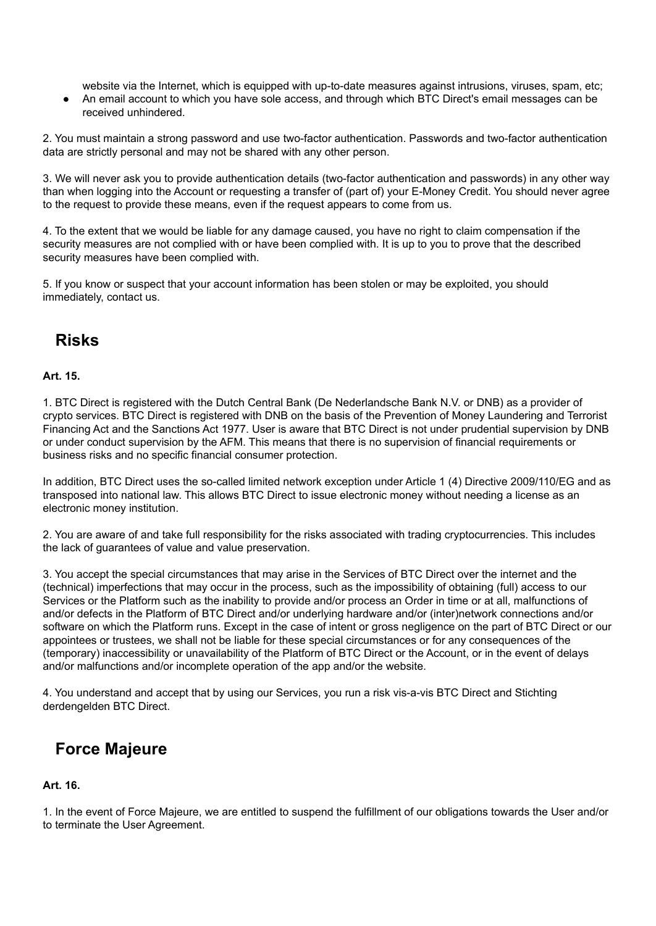website via the Internet, which is equipped with up-to-date measures against intrusions, viruses, spam, etc;

● An email account to which you have sole access, and through which BTC Direct's email messages can be received unhindered.

2. You must maintain a strong password and use two-factor authentication. Passwords and two-factor authentication data are strictly personal and may not be shared with any other person.

3. We will never ask you to provide authentication details (two-factor authentication and passwords) in any other way than when logging into the Account or requesting a transfer of (part of) your E-Money Credit. You should never agree to the request to provide these means, even if the request appears to come from us.

4. To the extent that we would be liable for any damage caused, you have no right to claim compensation if the security measures are not complied with or have been complied with. It is up to you to prove that the described security measures have been complied with.

5. If you know or suspect that your account information has been stolen or may be exploited, you should immediately, contact us.

## **Risks**

### **Art. 15.**

1. BTC Direct is registered with the Dutch Central Bank (De Nederlandsche Bank N.V. or DNB) as a provider of crypto services. BTC Direct is registered with DNB on the basis of the Prevention of Money Laundering and Terrorist Financing Act and the Sanctions Act 1977. User is aware that BTC Direct is not under prudential supervision by DNB or under conduct supervision by the AFM. This means that there is no supervision of financial requirements or business risks and no specific financial consumer protection.

In addition, BTC Direct uses the so-called limited network exception under Article 1 (4) Directive 2009/110/EG and as transposed into national law. This allows BTC Direct to issue electronic money without needing a license as an electronic money institution.

2. You are aware of and take full responsibility for the risks associated with trading cryptocurrencies. This includes the lack of guarantees of value and value preservation.

3. You accept the special circumstances that may arise in the Services of BTC Direct over the internet and the (technical) imperfections that may occur in the process, such as the impossibility of obtaining (full) access to our Services or the Platform such as the inability to provide and/or process an Order in time or at all, malfunctions of and/or defects in the Platform of BTC Direct and/or underlying hardware and/or (inter)network connections and/or software on which the Platform runs. Except in the case of intent or gross negligence on the part of BTC Direct or our appointees or trustees, we shall not be liable for these special circumstances or for any consequences of the (temporary) inaccessibility or unavailability of the Platform of BTC Direct or the Account, or in the event of delays and/or malfunctions and/or incomplete operation of the app and/or the website.

4. You understand and accept that by using our Services, you run a risk vis-a-vis BTC Direct and Stichting derdengelden BTC Direct.

## **Force Majeure**

### **Art. 16.**

1. In the event of Force Majeure, we are entitled to suspend the fulfillment of our obligations towards the User and/or to terminate the User Agreement.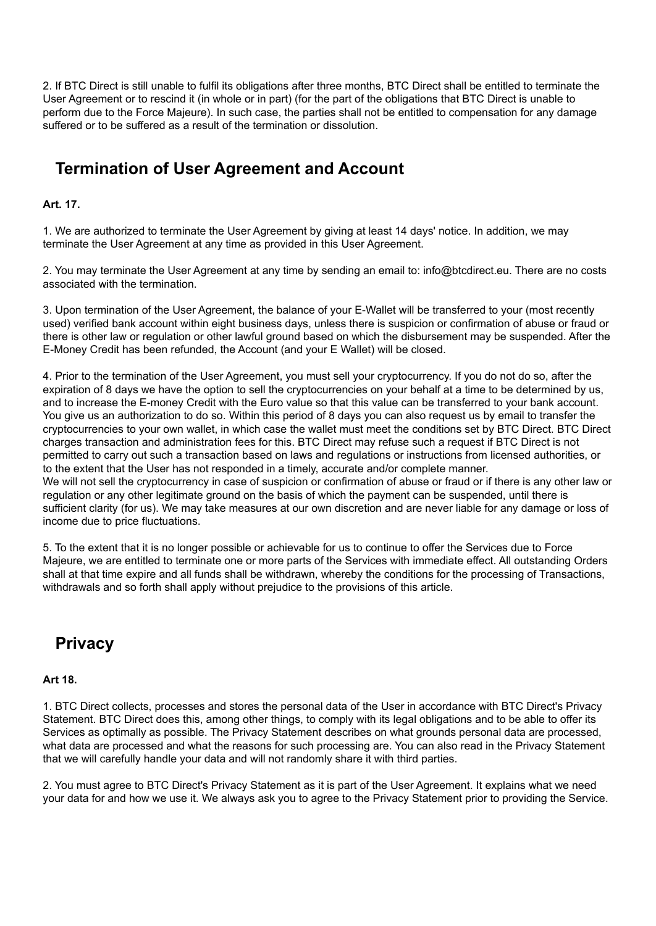2. If BTC Direct is still unable to fulfil its obligations after three months, BTC Direct shall be entitled to terminate the User Agreement or to rescind it (in whole or in part) (for the part of the obligations that BTC Direct is unable to perform due to the Force Majeure). In such case, the parties shall not be entitled to compensation for any damage suffered or to be suffered as a result of the termination or dissolution.

# **Termination of User Agreement and Account**

#### **Art. 17.**

1. We are authorized to terminate the User Agreement by giving at least 14 days' notice. In addition, we may terminate the User Agreement at any time as provided in this User Agreement.

2. You may terminate the User Agreement at any time by sending an email to: info@btcdirect.eu. There are no costs associated with the termination.

3. Upon termination of the User Agreement, the balance of your E-Wallet will be transferred to your (most recently used) verified bank account within eight business days, unless there is suspicion or confirmation of abuse or fraud or there is other law or regulation or other lawful ground based on which the disbursement may be suspended. After the E-Money Credit has been refunded, the Account (and your E Wallet) will be closed.

4. Prior to the termination of the User Agreement, you must sell your cryptocurrency. If you do not do so, after the expiration of 8 days we have the option to sell the cryptocurrencies on your behalf at a time to be determined by us, and to increase the E-money Credit with the Euro value so that this value can be transferred to your bank account. You give us an authorization to do so. Within this period of 8 days you can also request us by email to transfer the cryptocurrencies to your own wallet, in which case the wallet must meet the conditions set by BTC Direct. BTC Direct charges transaction and administration fees for this. BTC Direct may refuse such a request if BTC Direct is not permitted to carry out such a transaction based on laws and regulations or instructions from licensed authorities, or to the extent that the User has not responded in a timely, accurate and/or complete manner. We will not sell the cryptocurrency in case of suspicion or confirmation of abuse or fraud or if there is any other law or regulation or any other legitimate ground on the basis of which the payment can be suspended, until there is sufficient clarity (for us). We may take measures at our own discretion and are never liable for any damage or loss of income due to price fluctuations.

5. To the extent that it is no longer possible or achievable for us to continue to offer the Services due to Force Majeure, we are entitled to terminate one or more parts of the Services with immediate effect. All outstanding Orders shall at that time expire and all funds shall be withdrawn, whereby the conditions for the processing of Transactions, withdrawals and so forth shall apply without prejudice to the provisions of this article.

### **Privacy**

#### **Art 18.**

1. BTC Direct collects, processes and stores the personal data of the User in accordance with BTC Direct's Privacy Statement. BTC Direct does this, among other things, to comply with its legal obligations and to be able to offer its Services as optimally as possible. The Privacy Statement describes on what grounds personal data are processed, what data are processed and what the reasons for such processing are. You can also read in the Privacy Statement that we will carefully handle your data and will not randomly share it with third parties.

2. You must agree to BTC Direct's Privacy Statement as it is part of the User Agreement. It explains what we need your data for and how we use it. We always ask you to agree to the Privacy Statement prior to providing the Service.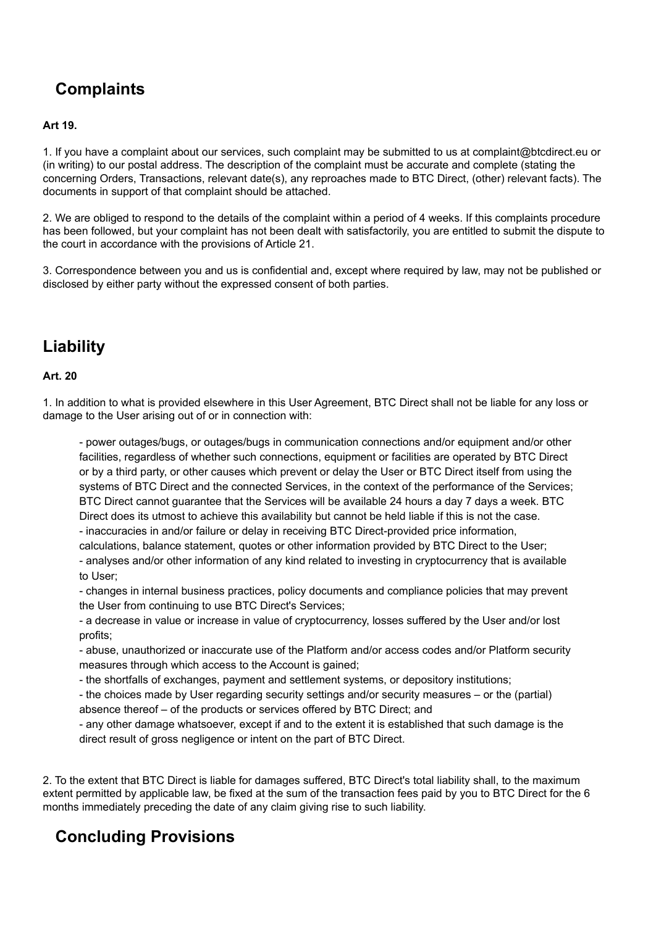# **Complaints**

### **Art 19.**

1. If you have a complaint about our services, such complaint may be submitted to us at complaint@btcdirect.eu or (in writing) to our postal address. The description of the complaint must be accurate and complete (stating the concerning Orders, Transactions, relevant date(s), any reproaches made to BTC Direct, (other) relevant facts). The documents in support of that complaint should be attached.

2. We are obliged to respond to the details of the complaint within a period of 4 weeks. If this complaints procedure has been followed, but your complaint has not been dealt with satisfactorily, you are entitled to submit the dispute to the court in accordance with the provisions of Article 21.

3. Correspondence between you and us is confidential and, except where required by law, may not be published or disclosed by either party without the expressed consent of both parties.

## **Liability**

#### **Art. 20**

1. In addition to what is provided elsewhere in this User Agreement, BTC Direct shall not be liable for any loss or damage to the User arising out of or in connection with:

- power outages/bugs, or outages/bugs in communication connections and/or equipment and/or other facilities, regardless of whether such connections, equipment or facilities are operated by BTC Direct or by a third party, or other causes which prevent or delay the User or BTC Direct itself from using the systems of BTC Direct and the connected Services, in the context of the performance of the Services; BTC Direct cannot guarantee that the Services will be available 24 hours a day 7 days a week. BTC Direct does its utmost to achieve this availability but cannot be held liable if this is not the case.

- inaccuracies in and/or failure or delay in receiving BTC Direct-provided price information,

calculations, balance statement, quotes or other information provided by BTC Direct to the User; - analyses and/or other information of any kind related to investing in cryptocurrency that is available to User;

- changes in internal business practices, policy documents and compliance policies that may prevent the User from continuing to use BTC Direct's Services;

- a decrease in value or increase in value of cryptocurrency, losses suffered by the User and/or lost profits;

- abuse, unauthorized or inaccurate use of the Platform and/or access codes and/or Platform security measures through which access to the Account is gained;

- the shortfalls of exchanges, payment and settlement systems, or depository institutions;

- the choices made by User regarding security settings and/or security measures – or the (partial) absence thereof – of the products or services offered by BTC Direct; and

- any other damage whatsoever, except if and to the extent it is established that such damage is the direct result of gross negligence or intent on the part of BTC Direct.

2. To the extent that BTC Direct is liable for damages suffered, BTC Direct's total liability shall, to the maximum extent permitted by applicable law, be fixed at the sum of the transaction fees paid by you to BTC Direct for the 6 months immediately preceding the date of any claim giving rise to such liability.

## **Concluding Provisions**